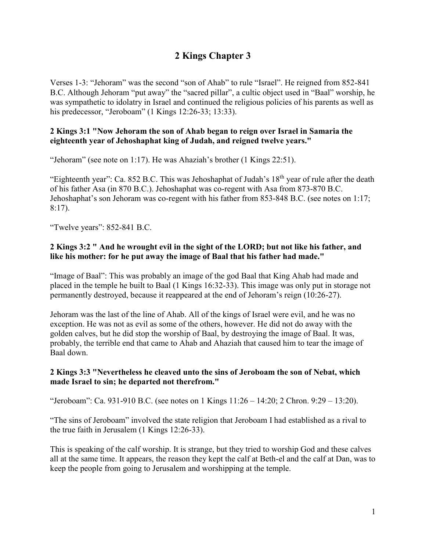# **2 Kings Chapter 3**

Verses 1-3: "Jehoram" was the second "son of Ahab" to rule "Israel". He reigned from 852-841 B.C. Although Jehoram "put away" the "sacred pillar", a cultic object used in "Baal" worship, he was sympathetic to idolatry in Israel and continued the religious policies of his parents as well as his predecessor, "Jeroboam" (1 Kings 12:26-33; 13:33).

#### **2 Kings 3:1 "Now Jehoram the son of Ahab began to reign over Israel in Samaria the eighteenth year of Jehoshaphat king of Judah, and reigned twelve years."**

"Jehoram" (see note on 1:17). He was Ahaziah's brother (1 Kings 22:51).

"Eighteenth year": Ca. 852 B.C. This was Jehoshaphat of Judah's  $18<sup>th</sup>$  year of rule after the death of his father Asa (in 870 B.C.). Jehoshaphat was co-regent with Asa from 873-870 B.C. Jehoshaphat's son Jehoram was co-regent with his father from 853-848 B.C. (see notes on 1:17; 8:17).

"Twelve years": 852-841 B.C.

## **2 Kings 3:2 " And he wrought evil in the sight of the LORD; but not like his father, and like his mother: for he put away the image of Baal that his father had made."**

"Image of Baal": This was probably an image of the god Baal that King Ahab had made and placed in the temple he built to Baal (1 Kings 16:32-33). This image was only put in storage not permanently destroyed, because it reappeared at the end of Jehoram's reign (10:26-27).

Jehoram was the last of the line of Ahab. All of the kings of Israel were evil, and he was no exception. He was not as evil as some of the others, however. He did not do away with the golden calves, but he did stop the worship of Baal, by destroying the image of Baal. It was, probably, the terrible end that came to Ahab and Ahaziah that caused him to tear the image of Baal down.

## **2 Kings 3:3 "Nevertheless he cleaved unto the sins of Jeroboam the son of Nebat, which made Israel to sin; he departed not therefrom."**

"Jeroboam": Ca. 931-910 B.C. (see notes on 1 Kings 11:26 – 14:20; 2 Chron. 9:29 – 13:20).

"The sins of Jeroboam" involved the state religion that Jeroboam I had established as a rival to the true faith in Jerusalem (1 Kings 12:26-33).

This is speaking of the calf worship. It is strange, but they tried to worship God and these calves all at the same time. It appears, the reason they kept the calf at Beth-el and the calf at Dan, was to keep the people from going to Jerusalem and worshipping at the temple.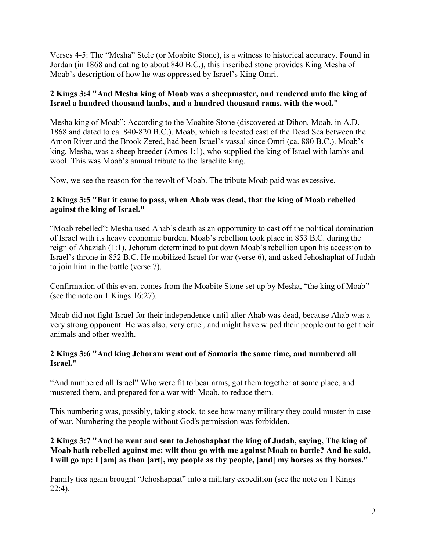Verses 4-5: The "Mesha" Stele (or Moabite Stone), is a witness to historical accuracy. Found in Jordan (in 1868 and dating to about 840 B.C.), this inscribed stone provides King Mesha of Moab's description of how he was oppressed by Israel's King Omri.

## **2 Kings 3:4 "And Mesha king of Moab was a sheepmaster, and rendered unto the king of Israel a hundred thousand lambs, and a hundred thousand rams, with the wool."**

Mesha king of Moab": According to the Moabite Stone (discovered at Dihon, Moab, in A.D. 1868 and dated to ca. 840-820 B.C.). Moab, which is located east of the Dead Sea between the Arnon River and the Brook Zered, had been Israel's vassal since Omri (ca. 880 B.C.). Moab's king, Mesha, was a sheep breeder (Amos 1:1), who supplied the king of Israel with lambs and wool. This was Moab's annual tribute to the Israelite king.

Now, we see the reason for the revolt of Moab. The tribute Moab paid was excessive.

#### **2 Kings 3:5 "But it came to pass, when Ahab was dead, that the king of Moab rebelled against the king of Israel."**

"Moab rebelled": Mesha used Ahab's death as an opportunity to cast off the political domination of Israel with its heavy economic burden. Moab's rebellion took place in 853 B.C. during the reign of Ahaziah (1:1). Jehoram determined to put down Moab's rebellion upon his accession to Israel's throne in 852 B.C. He mobilized Israel for war (verse 6), and asked Jehoshaphat of Judah to join him in the battle (verse 7).

Confirmation of this event comes from the Moabite Stone set up by Mesha, "the king of Moab" (see the note on 1 Kings 16:27).

Moab did not fight Israel for their independence until after Ahab was dead, because Ahab was a very strong opponent. He was also, very cruel, and might have wiped their people out to get their animals and other wealth.

#### **2 Kings 3:6 "And king Jehoram went out of Samaria the same time, and numbered all Israel."**

"And numbered all Israel" Who were fit to bear arms, got them together at some place, and mustered them, and prepared for a war with Moab, to reduce them.

This numbering was, possibly, taking stock, to see how many military they could muster in case of war. Numbering the people without God's permission was forbidden.

## **2 Kings 3:7 "And he went and sent to Jehoshaphat the king of Judah, saying, The king of Moab hath rebelled against me: wilt thou go with me against Moab to battle? And he said, I will go up: I [am] as thou [art], my people as thy people, [and] my horses as thy horses."**

Family ties again brought "Jehoshaphat" into a military expedition (see the note on 1 Kings  $22:4$ ).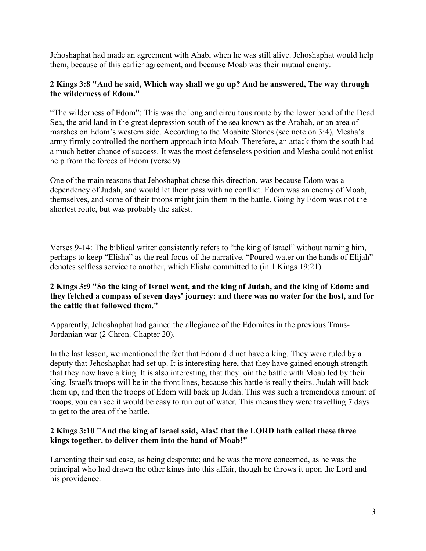Jehoshaphat had made an agreement with Ahab, when he was still alive. Jehoshaphat would help them, because of this earlier agreement, and because Moab was their mutual enemy.

#### **2 Kings 3:8 "And he said, Which way shall we go up? And he answered, The way through the wilderness of Edom."**

"The wilderness of Edom": This was the long and circuitous route by the lower bend of the Dead Sea, the arid land in the great depression south of the sea known as the Arabah, or an area of marshes on Edom's western side. According to the Moabite Stones (see note on 3:4), Mesha's army firmly controlled the northern approach into Moab. Therefore, an attack from the south had a much better chance of success. It was the most defenseless position and Mesha could not enlist help from the forces of Edom (verse 9).

One of the main reasons that Jehoshaphat chose this direction, was because Edom was a dependency of Judah, and would let them pass with no conflict. Edom was an enemy of Moab, themselves, and some of their troops might join them in the battle. Going by Edom was not the shortest route, but was probably the safest.

Verses 9-14: The biblical writer consistently refers to "the king of Israel" without naming him, perhaps to keep "Elisha" as the real focus of the narrative. "Poured water on the hands of Elijah" denotes selfless service to another, which Elisha committed to (in 1 Kings 19:21).

## **2 Kings 3:9 "So the king of Israel went, and the king of Judah, and the king of Edom: and they fetched a compass of seven days' journey: and there was no water for the host, and for the cattle that followed them."**

Apparently, Jehoshaphat had gained the allegiance of the Edomites in the previous Trans-Jordanian war (2 Chron. Chapter 20).

In the last lesson, we mentioned the fact that Edom did not have a king. They were ruled by a deputy that Jehoshaphat had set up. It is interesting here, that they have gained enough strength that they now have a king. It is also interesting, that they join the battle with Moab led by their king. Israel's troops will be in the front lines, because this battle is really theirs. Judah will back them up, and then the troops of Edom will back up Judah. This was such a tremendous amount of troops, you can see it would be easy to run out of water. This means they were travelling 7 days to get to the area of the battle.

#### **2 Kings 3:10 "And the king of Israel said, Alas! that the LORD hath called these three kings together, to deliver them into the hand of Moab!"**

Lamenting their sad case, as being desperate; and he was the more concerned, as he was the principal who had drawn the other kings into this affair, though he throws it upon the Lord and his providence.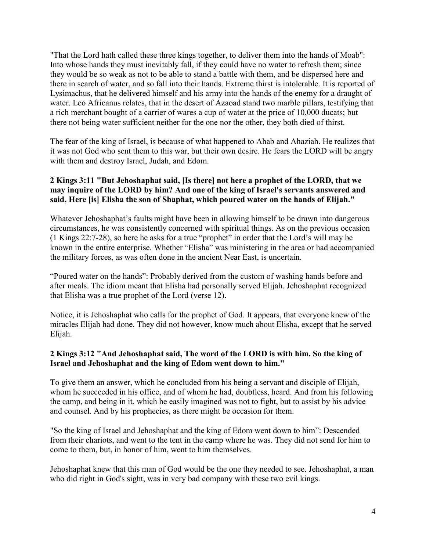"That the Lord hath called these three kings together, to deliver them into the hands of Moab": Into whose hands they must inevitably fall, if they could have no water to refresh them; since they would be so weak as not to be able to stand a battle with them, and be dispersed here and there in search of water, and so fall into their hands. Extreme thirst is intolerable. It is reported of Lysimachus, that he delivered himself and his army into the hands of the enemy for a draught of water. Leo Africanus relates, that in the desert of Azaoad stand two marble pillars, testifying that a rich merchant bought of a carrier of wares a cup of water at the price of 10,000 ducats; but there not being water sufficient neither for the one nor the other, they both died of thirst.

The fear of the king of Israel, is because of what happened to Ahab and Ahaziah. He realizes that it was not God who sent them to this war, but their own desire. He fears the LORD will be angry with them and destroy Israel, Judah, and Edom.

## **2 Kings 3:11 "But Jehoshaphat said, [Is there] not here a prophet of the LORD, that we may inquire of the LORD by him? And one of the king of Israel's servants answered and said, Here [is] Elisha the son of Shaphat, which poured water on the hands of Elijah."**

Whatever Jehoshaphat's faults might have been in allowing himself to be drawn into dangerous circumstances, he was consistently concerned with spiritual things. As on the previous occasion (1 Kings 22:7-28), so here he asks for a true "prophet" in order that the Lord's will may be known in the entire enterprise. Whether "Elisha" was ministering in the area or had accompanied the military forces, as was often done in the ancient Near East, is uncertain.

"Poured water on the hands": Probably derived from the custom of washing hands before and after meals. The idiom meant that Elisha had personally served Elijah. Jehoshaphat recognized that Elisha was a true prophet of the Lord (verse 12).

Notice, it is Jehoshaphat who calls for the prophet of God. It appears, that everyone knew of the miracles Elijah had done. They did not however, know much about Elisha, except that he served Elijah.

## **2 Kings 3:12 "And Jehoshaphat said, The word of the LORD is with him. So the king of Israel and Jehoshaphat and the king of Edom went down to him."**

To give them an answer, which he concluded from his being a servant and disciple of Elijah, whom he succeeded in his office, and of whom he had, doubtless, heard. And from his following the camp, and being in it, which he easily imagined was not to fight, but to assist by his advice and counsel. And by his prophecies, as there might be occasion for them.

"So the king of Israel and Jehoshaphat and the king of Edom went down to him": Descended from their chariots, and went to the tent in the camp where he was. They did not send for him to come to them, but, in honor of him, went to him themselves.

Jehoshaphat knew that this man of God would be the one they needed to see. Jehoshaphat, a man who did right in God's sight, was in very bad company with these two evil kings.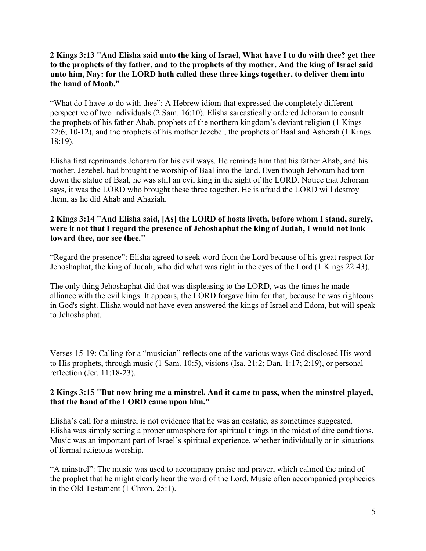## **2 Kings 3:13 "And Elisha said unto the king of Israel, What have I to do with thee? get thee to the prophets of thy father, and to the prophets of thy mother. And the king of Israel said unto him, Nay: for the LORD hath called these three kings together, to deliver them into the hand of Moab."**

"What do I have to do with thee": A Hebrew idiom that expressed the completely different perspective of two individuals (2 Sam. 16:10). Elisha sarcastically ordered Jehoram to consult the prophets of his father Ahab, prophets of the northern kingdom's deviant religion (1 Kings 22:6; 10-12), and the prophets of his mother Jezebel, the prophets of Baal and Asherah (1 Kings 18:19).

Elisha first reprimands Jehoram for his evil ways. He reminds him that his father Ahab, and his mother, Jezebel, had brought the worship of Baal into the land. Even though Jehoram had torn down the statue of Baal, he was still an evil king in the sight of the LORD. Notice that Jehoram says, it was the LORD who brought these three together. He is afraid the LORD will destroy them, as he did Ahab and Ahaziah.

#### **2 Kings 3:14 "And Elisha said, [As] the LORD of hosts liveth, before whom I stand, surely, were it not that I regard the presence of Jehoshaphat the king of Judah, I would not look toward thee, nor see thee."**

"Regard the presence": Elisha agreed to seek word from the Lord because of his great respect for Jehoshaphat, the king of Judah, who did what was right in the eyes of the Lord (1 Kings 22:43).

The only thing Jehoshaphat did that was displeasing to the LORD, was the times he made alliance with the evil kings. It appears, the LORD forgave him for that, because he was righteous in God's sight. Elisha would not have even answered the kings of Israel and Edom, but will speak to Jehoshaphat.

Verses 15-19: Calling for a "musician" reflects one of the various ways God disclosed His word to His prophets, through music (1 Sam. 10:5), visions (Isa. 21:2; Dan. 1:17; 2:19), or personal reflection (Jer. 11:18-23).

## **2 Kings 3:15 "But now bring me a minstrel. And it came to pass, when the minstrel played, that the hand of the LORD came upon him."**

Elisha's call for a minstrel is not evidence that he was an ecstatic, as sometimes suggested. Elisha was simply setting a proper atmosphere for spiritual things in the midst of dire conditions. Music was an important part of Israel's spiritual experience, whether individually or in situations of formal religious worship.

"A minstrel": The music was used to accompany praise and prayer, which calmed the mind of the prophet that he might clearly hear the word of the Lord. Music often accompanied prophecies in the Old Testament (1 Chron. 25:1).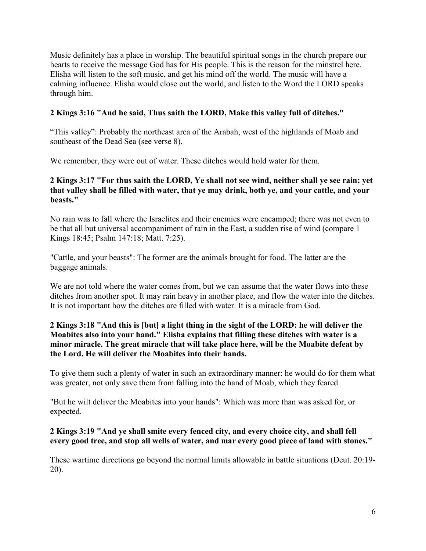Music definitely has a place in worship. The beautiful spiritual songs in the church prepare our hearts to receive the message God has for His people. This is the reason for the minstrel here. Elisha will listen to the soft music, and get his mind off the world. The music will have a calming influence. Elisha would close out the world, and listen to the Word the LORD speaks through him.

## **2 Kings 3:16 "And he said, Thus saith the LORD, Make this valley full of ditches."**

"This valley": Probably the northeast area of the Arabah, west of the highlands of Moab and southeast of the Dead Sea (see verse 8).

We remember, they were out of water. These ditches would hold water for them.

## **2 Kings 3:17 "For thus saith the LORD, Ye shall not see wind, neither shall ye see rain; yet that valley shall be filled with water, that ye may drink, both ye, and your cattle, and your beasts."**

No rain was to fall where the Israelites and their enemies were encamped; there was not even to be that all but universal accompaniment of rain in the East, a sudden rise of wind (compare 1 Kings 18:45; Psalm 147:18; Matt. 7:25).

"Cattle, and your beasts": The former are the animals brought for food. The latter are the baggage animals.

We are not told where the water comes from, but we can assume that the water flows into these ditches from another spot. It may rain heavy in another place, and flow the water into the ditches. It is not important how the ditches are filled with water. It is a miracle from God.

## **2 Kings 3:18 "And this is [but] a light thing in the sight of the LORD: he will deliver the Moabites also into your hand." Elisha explains that filling these ditches with water is a minor miracle. The great miracle that will take place here, will be the Moabite defeat by the Lord. He will deliver the Moabites into their hands.**

To give them such a plenty of water in such an extraordinary manner: he would do for them what was greater, not only save them from falling into the hand of Moab, which they feared.

"But he wilt deliver the Moabites into your hands": Which was more than was asked for, or expected.

## **2 Kings 3:19 "And ye shall smite every fenced city, and every choice city, and shall fell every good tree, and stop all wells of water, and mar every good piece of land with stones."**

These wartime directions go beyond the normal limits allowable in battle situations (Deut. 20:19- 20).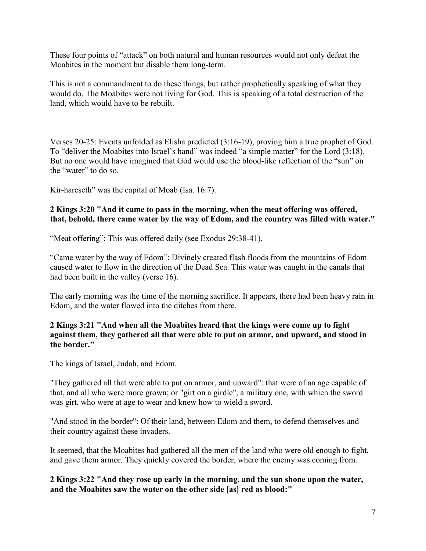These four points of "attack" on both natural and human resources would not only defeat the Moabites in the moment but disable them long-term.

This is not a commandment to do these things, but rather prophetically speaking of what they would do. The Moabites were not living for God. This is speaking of a total destruction of the land, which would have to be rebuilt.

Verses 20-25: Events unfolded as Elisha predicted (3:16-19), proving him a true prophet of God. To "deliver the Moabites into Israel's hand" was indeed "a simple matter" for the Lord (3:18). But no one would have imagined that God would use the blood-like reflection of the "sun" on the "water" to do so.

Kir-hareseth" was the capital of Moab (Isa. 16:7).

#### **2 Kings 3:20 "And it came to pass in the morning, when the meat offering was offered, that, behold, there came water by the way of Edom, and the country was filled with water."**

"Meat offering": This was offered daily (see Exodus 29:38-41).

"Came water by the way of Edom": Divinely created flash floods from the mountains of Edom caused water to flow in the direction of the Dead Sea. This water was caught in the canals that had been built in the valley (verse 16).

The early morning was the time of the morning sacrifice. It appears, there had been heavy rain in Edom, and the water flowed into the ditches from there.

#### **2 Kings 3:21 "And when all the Moabites heard that the kings were come up to fight against them, they gathered all that were able to put on armor, and upward, and stood in the border."**

The kings of Israel, Judah, and Edom.

"They gathered all that were able to put on armor, and upward": that were of an age capable of that, and all who were more grown; or "girt on a girdle", a military one, with which the sword was girt, who were at age to wear and knew how to wield a sword.

"And stood in the border": Of their land, between Edom and them, to defend themselves and their country against these invaders.

It seemed, that the Moabites had gathered all the men of the land who were old enough to fight, and gave them armor. They quickly covered the border, where the enemy was coming from.

**2 Kings 3:22 "And they rose up early in the morning, and the sun shone upon the water, and the Moabites saw the water on the other side [as] red as blood:"**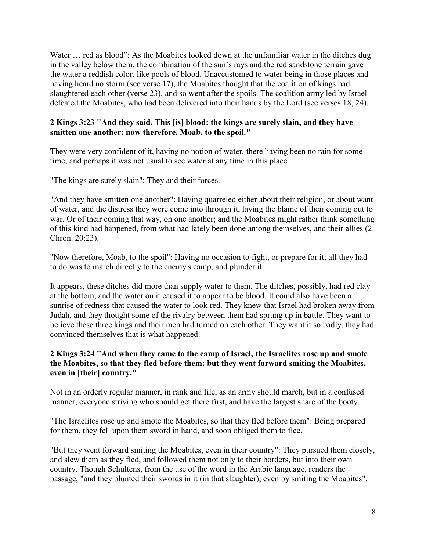Water ... red as blood": As the Moabites looked down at the unfamiliar water in the ditches dug in the valley below them, the combination of the sun's rays and the red sandstone terrain gave the water a reddish color, like pools of blood. Unaccustomed to water being in those places and having heard no storm (see verse 17), the Moabites thought that the coalition of kings had slaughtered each other (verse 23), and so went after the spoils. The coalition army led by Israel defeated the Moabites, who had been delivered into their hands by the Lord (see verses 18, 24).

## **2 Kings 3:23 "And they said, This [is] blood: the kings are surely slain, and they have smitten one another: now therefore, Moab, to the spoil."**

They were very confident of it, having no notion of water, there having been no rain for some time; and perhaps it was not usual to see water at any time in this place.

"The kings are surely slain": They and their forces.

"And they have smitten one another": Having quarreled either about their religion, or about want of water, and the distress they were come into through it, laying the blame of their coming out to war. Or of their coming that way, on one another; and the Moabites might rather think something of this kind had happened, from what had lately been done among themselves, and their allies (2 Chron. 20:23).

"Now therefore, Moab, to the spoil": Having no occasion to fight, or prepare for it; all they had to do was to march directly to the enemy's camp, and plunder it.

It appears, these ditches did more than supply water to them. The ditches, possibly, had red clay at the bottom, and the water on it caused it to appear to be blood. It could also have been a sunrise of redness that caused the water to look red. They knew that Israel had broken away from Judah, and they thought some of the rivalry between them had sprung up in battle. They want to believe these three kings and their men had turned on each other. They want it so badly, they had convinced themselves that is what happened.

## **2 Kings 3:24 "And when they came to the camp of Israel, the Israelites rose up and smote the Moabites, so that they fled before them: but they went forward smiting the Moabites, even in [their] country."**

Not in an orderly regular manner, in rank and file, as an army should march, but in a confused manner, everyone striving who should get there first, and have the largest share of the booty.

"The Israelites rose up and smote the Moabites, so that they fled before them": Being prepared for them, they fell upon them sword in hand, and soon obliged them to flee.

"But they went forward smiting the Moabites, even in their country": They pursued them closely, and slew them as they fled, and followed them not only to their borders, but into their own country. Though Schultens, from the use of the word in the Arabic language, renders the passage, "and they blunted their swords in it (in that slaughter), even by smiting the Moabites".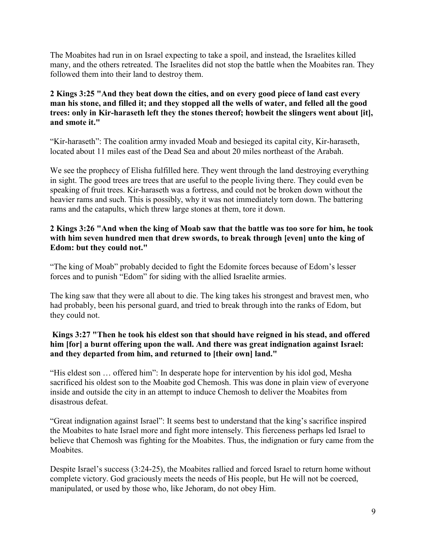The Moabites had run in on Israel expecting to take a spoil, and instead, the Israelites killed many, and the others retreated. The Israelites did not stop the battle when the Moabites ran. They followed them into their land to destroy them.

## **2 Kings 3:25 "And they beat down the cities, and on every good piece of land cast every man his stone, and filled it; and they stopped all the wells of water, and felled all the good trees: only in Kir-haraseth left they the stones thereof; howbeit the slingers went about [it], and smote it."**

"Kir-haraseth": The coalition army invaded Moab and besieged its capital city, Kir-haraseth, located about 11 miles east of the Dead Sea and about 20 miles northeast of the Arabah.

We see the prophecy of Elisha fulfilled here. They went through the land destroying everything in sight. The good trees are trees that are useful to the people living there. They could even be speaking of fruit trees. Kir-haraseth was a fortress, and could not be broken down without the heavier rams and such. This is possibly, why it was not immediately torn down. The battering rams and the catapults, which threw large stones at them, tore it down.

## **2 Kings 3:26 "And when the king of Moab saw that the battle was too sore for him, he took with him seven hundred men that drew swords, to break through [even] unto the king of Edom: but they could not."**

"The king of Moab" probably decided to fight the Edomite forces because of Edom's lesser forces and to punish "Edom" for siding with the allied Israelite armies.

The king saw that they were all about to die. The king takes his strongest and bravest men, who had probably, been his personal guard, and tried to break through into the ranks of Edom, but they could not.

## **Kings 3:27 "Then he took his eldest son that should have reigned in his stead, and offered him [for] a burnt offering upon the wall. And there was great indignation against Israel: and they departed from him, and returned to [their own] land."**

"His eldest son … offered him": In desperate hope for intervention by his idol god, Mesha sacrificed his oldest son to the Moabite god Chemosh. This was done in plain view of everyone inside and outside the city in an attempt to induce Chemosh to deliver the Moabites from disastrous defeat.

"Great indignation against Israel": It seems best to understand that the king's sacrifice inspired the Moabites to hate Israel more and fight more intensely. This fierceness perhaps led Israel to believe that Chemosh was fighting for the Moabites. Thus, the indignation or fury came from the **Moabites** 

Despite Israel's success (3:24-25), the Moabites rallied and forced Israel to return home without complete victory. God graciously meets the needs of His people, but He will not be coerced, manipulated, or used by those who, like Jehoram, do not obey Him.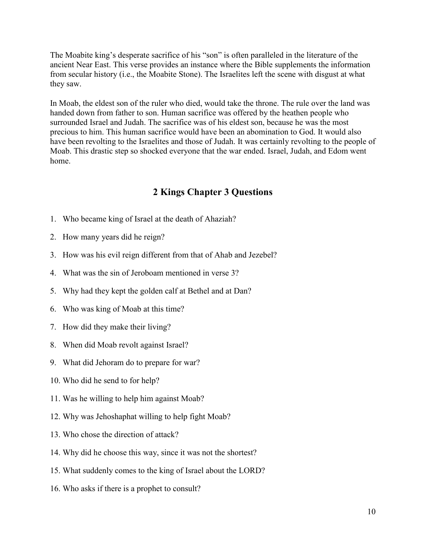The Moabite king's desperate sacrifice of his "son" is often paralleled in the literature of the ancient Near East. This verse provides an instance where the Bible supplements the information from secular history (i.e., the Moabite Stone). The Israelites left the scene with disgust at what they saw.

In Moab, the eldest son of the ruler who died, would take the throne. The rule over the land was handed down from father to son. Human sacrifice was offered by the heathen people who surrounded Israel and Judah. The sacrifice was of his eldest son, because he was the most precious to him. This human sacrifice would have been an abomination to God. It would also have been revolting to the Israelites and those of Judah. It was certainly revolting to the people of Moab. This drastic step so shocked everyone that the war ended. Israel, Judah, and Edom went home.

# **2 Kings Chapter 3 Questions**

- 1. Who became king of Israel at the death of Ahaziah?
- 2. How many years did he reign?
- 3. How was his evil reign different from that of Ahab and Jezebel?
- 4. What was the sin of Jeroboam mentioned in verse 3?
- 5. Why had they kept the golden calf at Bethel and at Dan?
- 6. Who was king of Moab at this time?
- 7. How did they make their living?
- 8. When did Moab revolt against Israel?
- 9. What did Jehoram do to prepare for war?
- 10. Who did he send to for help?
- 11. Was he willing to help him against Moab?
- 12. Why was Jehoshaphat willing to help fight Moab?
- 13. Who chose the direction of attack?
- 14. Why did he choose this way, since it was not the shortest?
- 15. What suddenly comes to the king of Israel about the LORD?
- 16. Who asks if there is a prophet to consult?